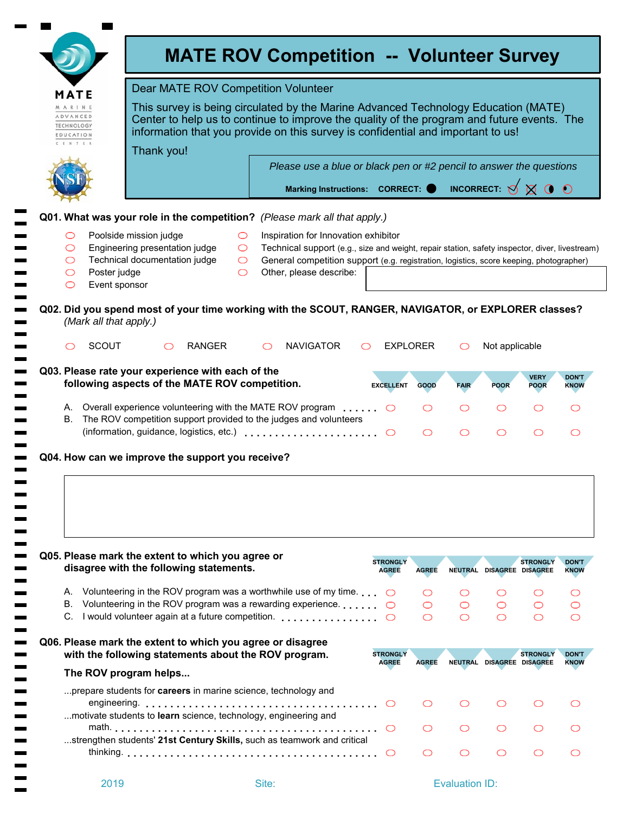|                                                                | MATE                          | <b>Dear MATE ROV Competition Volunteer</b>                                                                                                                                                                                                                           |                                          |                                                                                                                                                                                                                                                              |                                 |              |                 |                           |                            |                                                                                         |  |  |
|----------------------------------------------------------------|-------------------------------|----------------------------------------------------------------------------------------------------------------------------------------------------------------------------------------------------------------------------------------------------------------------|------------------------------------------|--------------------------------------------------------------------------------------------------------------------------------------------------------------------------------------------------------------------------------------------------------------|---------------------------------|--------------|-----------------|---------------------------|----------------------------|-----------------------------------------------------------------------------------------|--|--|
| MARINE<br>ADVANCED<br><b>TECHNOLOGY</b><br>EDUCATION<br>CENTER |                               | This survey is being circulated by the Marine Advanced Technology Education (MATE)<br>Center to help us to continue to improve the quality of the program and future events. The<br>information that you provide on this survey is confidential and important to us! |                                          |                                                                                                                                                                                                                                                              |                                 |              |                 |                           |                            |                                                                                         |  |  |
|                                                                |                               | Thank you!                                                                                                                                                                                                                                                           |                                          | Please use a blue or black pen or #2 pencil to answer the questions                                                                                                                                                                                          |                                 |              |                 |                           |                            |                                                                                         |  |  |
|                                                                |                               |                                                                                                                                                                                                                                                                      |                                          | Marking Instructions: CORRECT: $\bigcirc$ INCORRECT: $\bigcirc$ $\bigcirc$ $\bigcirc$ $\bigcirc$ $\bigcirc$                                                                                                                                                  |                                 |              |                 |                           |                            |                                                                                         |  |  |
|                                                                |                               |                                                                                                                                                                                                                                                                      |                                          | Q01. What was your role in the competition? (Please mark all that apply.)                                                                                                                                                                                    |                                 |              |                 |                           |                            |                                                                                         |  |  |
| O<br>O<br>O<br>O<br>O                                          | Poster judge<br>Event sponsor | Poolside mission judge<br>Engineering presentation judge<br>Technical documentation judge                                                                                                                                                                            | $\circ$<br>$\circ$<br>$\circ$<br>$\circ$ | Inspiration for Innovation exhibitor<br>Technical support (e.g., size and weight, repair station, safety inspector, diver, livestream)<br>General competition support (e.g. registration, logistics, score keeping, photographer)<br>Other, please describe: |                                 |              |                 |                           |                            |                                                                                         |  |  |
|                                                                | (Mark all that apply.)        |                                                                                                                                                                                                                                                                      |                                          | Q02. Did you spend most of your time working with the SCOUT, RANGER, NAVIGATOR, or EXPLORER classes?                                                                                                                                                         |                                 |              |                 |                           |                            |                                                                                         |  |  |
| ◯                                                              | <b>SCOUT</b>                  | ◯                                                                                                                                                                                                                                                                    | <b>RANGER</b>                            | <b>NAVIGATOR</b><br>◯<br>$\circ$                                                                                                                                                                                                                             | <b>EXPLORER</b>                 |              | O               | Not applicable            |                            |                                                                                         |  |  |
|                                                                |                               | Q03. Please rate your experience with each of the<br>following aspects of the MATE ROV competition.                                                                                                                                                                  |                                          |                                                                                                                                                                                                                                                              | <b>EXCELLENT</b>                | <b>GOOD</b>  | <b>FAIR</b>     | <b>POOR</b>               | <b>VERY</b><br><b>POOR</b> | <b>DON'T</b><br><b>KNOW</b>                                                             |  |  |
| В.                                                             |                               |                                                                                                                                                                                                                                                                      |                                          | A. Overall experience volunteering with the MATE ROV program $\dots$<br>The ROV competition support provided to the judges and volunteers                                                                                                                    |                                 | O<br>O       | O<br>$\bigcirc$ | O<br>$\bigcirc$           | O<br>$\bigcirc$            | O<br>◯                                                                                  |  |  |
|                                                                |                               |                                                                                                                                                                                                                                                                      |                                          |                                                                                                                                                                                                                                                              |                                 |              |                 |                           |                            |                                                                                         |  |  |
|                                                                |                               | Q04. How can we improve the support you receive?                                                                                                                                                                                                                     |                                          |                                                                                                                                                                                                                                                              |                                 |              |                 |                           |                            |                                                                                         |  |  |
|                                                                |                               | Q05. Please mark the extent to which you agree or<br>disagree with the following statements.                                                                                                                                                                         |                                          |                                                                                                                                                                                                                                                              | <b>STRONGLY</b><br><b>AGREE</b> | <b>AGREE</b> |                 | NEUTRAL DISAGREE DISAGREE | <b>STRONGLY</b>            |                                                                                         |  |  |
| А.                                                             |                               |                                                                                                                                                                                                                                                                      |                                          | Volunteering in the ROV program was a worthwhile use of my time. $\bigcirc$                                                                                                                                                                                  |                                 | O            | O               | O                         | O                          |                                                                                         |  |  |
|                                                                |                               |                                                                                                                                                                                                                                                                      |                                          | B. Volunteering in the ROV program was a rewarding experience.<br>C. I would volunteer again at a future competition.                                                                                                                                        |                                 | O<br>◯       | ◯<br>◯          | $\circlearrowright$<br>◯  | O<br>◯                     |                                                                                         |  |  |
|                                                                |                               |                                                                                                                                                                                                                                                                      |                                          | Q06. Please mark the extent to which you agree or disagree<br>with the following statements about the ROV program.                                                                                                                                           | <b>STRONGLY</b>                 |              |                 |                           | <b>STRONGLY</b>            |                                                                                         |  |  |
|                                                                |                               | The ROV program helps                                                                                                                                                                                                                                                |                                          |                                                                                                                                                                                                                                                              | <b>AGREE</b>                    | <b>AGREE</b> |                 | NEUTRAL DISAGREE DISAGREE |                            |                                                                                         |  |  |
|                                                                |                               |                                                                                                                                                                                                                                                                      |                                          | prepare students for <b>careers</b> in marine science, technology and                                                                                                                                                                                        |                                 | O            | ◯               | O                         | O                          |                                                                                         |  |  |
|                                                                |                               |                                                                                                                                                                                                                                                                      |                                          | motivate students to learn science, technology, engineering and                                                                                                                                                                                              |                                 | O            | O               | O                         | O                          | <b>DON'T</b><br><b>KNOW</b><br>O<br>O<br>$\bigcirc$<br><b>DON'T</b><br><b>KNOW</b><br>O |  |  |
|                                                                |                               |                                                                                                                                                                                                                                                                      |                                          | strengthen students' 21st Century Skills, such as teamwork and critical                                                                                                                                                                                      | $\circ$                         | O            | ◯               | O                         | O                          | O                                                                                       |  |  |

 $\blacksquare$